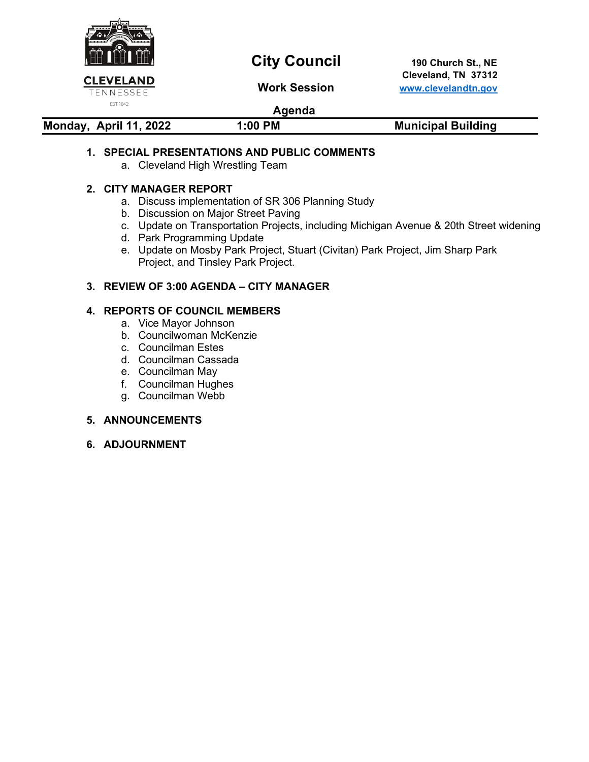

# **City Council** 190 Church St., NE

 **Cleveland, TN 37312 Work Session [www.clevelandtn.gov](http://www.clevelandtn.gov/)**

# **Agenda**

| Monday, April 11, 2022 | 1:00 PM | <b>Municipal Building</b> |
|------------------------|---------|---------------------------|

### **1. SPECIAL PRESENTATIONS AND PUBLIC COMMENTS**

a. Cleveland High Wrestling Team

#### **2. CITY MANAGER REPORT**

- a. Discuss implementation of SR 306 Planning Study
- b. Discussion on Major Street Paving
- c. Update on Transportation Projects, including Michigan Avenue & 20th Street widening
- d. Park Programming Update
- e. Update on Mosby Park Project, Stuart (Civitan) Park Project, Jim Sharp Park Project, and Tinsley Park Project.

### **3. REVIEW OF 3:00 AGENDA – CITY MANAGER**

#### **4. REPORTS OF COUNCIL MEMBERS**

- a. Vice Mayor Johnson
- b. Councilwoman McKenzie
- c. Councilman Estes
- d. Councilman Cassada
- e. Councilman May
- f. Councilman Hughes
- g. Councilman Webb

#### **5. ANNOUNCEMENTS**

**6. ADJOURNMENT**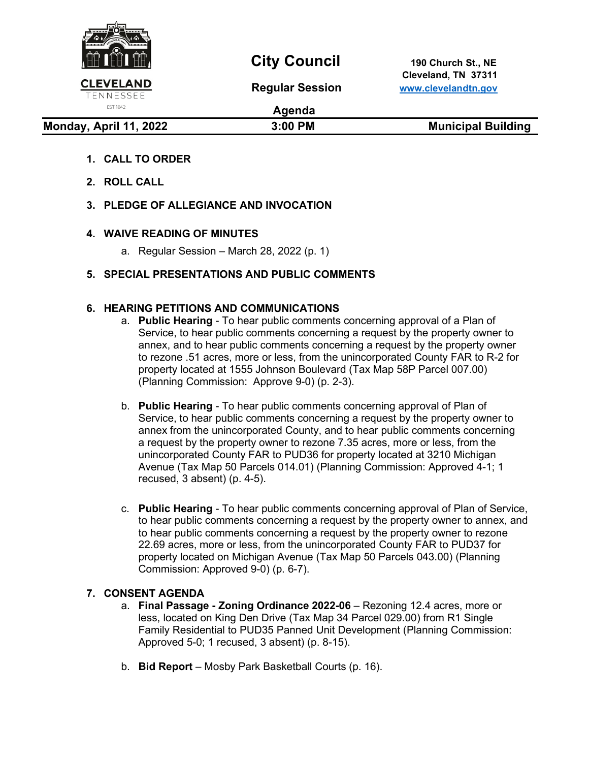

# **City Council** 190 Church St., NE

 **Cleveland, TN 37311 Regular Session [www.clevelandtn.gov](http://www.clevelandtn.gov/)**

# EST. 1842

**Agenda**

**Monday, April 11, 2022** 3:00 PM 3:00 PM Municipal Building

# **1. CALL TO ORDER**

- **2. ROLL CALL**
- **3. PLEDGE OF ALLEGIANCE AND INVOCATION**

### **4. WAIVE READING OF MINUTES**

a. Regular Session – March 28, 2022 (p. 1)

# **5. SPECIAL PRESENTATIONS AND PUBLIC COMMENTS**

#### **6. HEARING PETITIONS AND COMMUNICATIONS**

- a. **Public Hearing** To hear public comments concerning approval of a Plan of Service, to hear public comments concerning a request by the property owner to annex, and to hear public comments concerning a request by the property owner to rezone .51 acres, more or less, from the unincorporated County FAR to R-2 for property located at 1555 Johnson Boulevard (Tax Map 58P Parcel 007.00) (Planning Commission: Approve 9-0) (p. 2-3).
- b. **Public Hearing** To hear public comments concerning approval of Plan of Service, to hear public comments concerning a request by the property owner to annex from the unincorporated County, and to hear public comments concerning a request by the property owner to rezone 7.35 acres, more or less, from the unincorporated County FAR to PUD36 for property located at 3210 Michigan Avenue (Tax Map 50 Parcels 014.01) (Planning Commission: Approved 4-1; 1 recused, 3 absent) (p. 4-5).
- c. **Public Hearing** To hear public comments concerning approval of Plan of Service, to hear public comments concerning a request by the property owner to annex, and to hear public comments concerning a request by the property owner to rezone 22.69 acres, more or less, from the unincorporated County FAR to PUD37 for property located on Michigan Avenue (Tax Map 50 Parcels 043.00) (Planning Commission: Approved 9-0) (p. 6-7).

#### **7. CONSENT AGENDA**

- a. **Final Passage - Zoning Ordinance 2022-06** Rezoning 12.4 acres, more or less, located on King Den Drive (Tax Map 34 Parcel 029.00) from R1 Single Family Residential to PUD35 Panned Unit Development (Planning Commission: Approved 5-0; 1 recused, 3 absent) (p. 8-15).
- b. **Bid Report**  Mosby Park Basketball Courts (p. 16).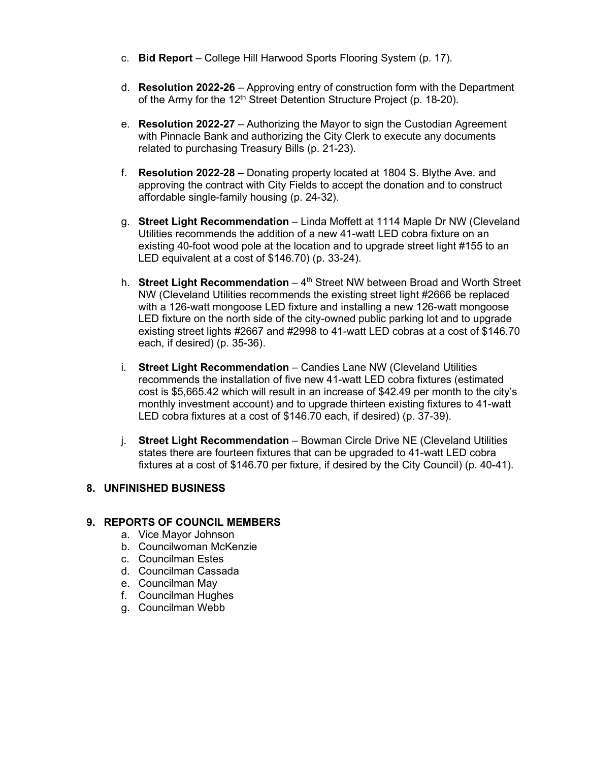- c. **Bid Report** College Hill Harwood Sports Flooring System (p. 17).
- d. **Resolution 2022-26** Approving entry of construction form with the Department of the Army for the 12<sup>th</sup> Street Detention Structure Project (p. 18-20).
- e. **Resolution 2022-27**  Authorizing the Mayor to sign the Custodian Agreement with Pinnacle Bank and authorizing the City Clerk to execute any documents related to purchasing Treasury Bills (p. 21-23).
- f. **Resolution 2022-28** Donating property located at 1804 S. Blythe Ave. and approving the contract with City Fields to accept the donation and to construct affordable single-family housing (p. 24-32).
- g. **Street Light Recommendation**  Linda Moffett at 1114 Maple Dr NW (Cleveland Utilities recommends the addition of a new 41-watt LED cobra fixture on an existing 40-foot wood pole at the location and to upgrade street light #155 to an LED equivalent at a cost of \$146.70) (p. 33-24).
- h. **Street Light Recommendation** 4<sup>th</sup> Street NW between Broad and Worth Street NW (Cleveland Utilities recommends the existing street light #2666 be replaced with a 126-watt mongoose LED fixture and installing a new 126-watt mongoose LED fixture on the north side of the city-owned public parking lot and to upgrade existing street lights #2667 and #2998 to 41-watt LED cobras at a cost of \$146.70 each, if desired) (p. 35-36).
- i. **Street Light Recommendation**  Candies Lane NW (Cleveland Utilities recommends the installation of five new 41-watt LED cobra fixtures (estimated cost is \$5,665.42 which will result in an increase of \$42.49 per month to the city's monthly investment account) and to upgrade thirteen existing fixtures to 41-watt LED cobra fixtures at a cost of \$146.70 each, if desired) (p. 37-39).
- j. **Street Light Recommendation**  Bowman Circle Drive NE (Cleveland Utilities states there are fourteen fixtures that can be upgraded to 41-watt LED cobra fixtures at a cost of \$146.70 per fixture, if desired by the City Council) (p. 40-41).

# **8. UNFINISHED BUSINESS**

#### **9. REPORTS OF COUNCIL MEMBERS**

- a. Vice Mayor Johnson
- b. Councilwoman McKenzie
- c. Councilman Estes
- d. Councilman Cassada
- e. Councilman May
- f. Councilman Hughes
- g. Councilman Webb